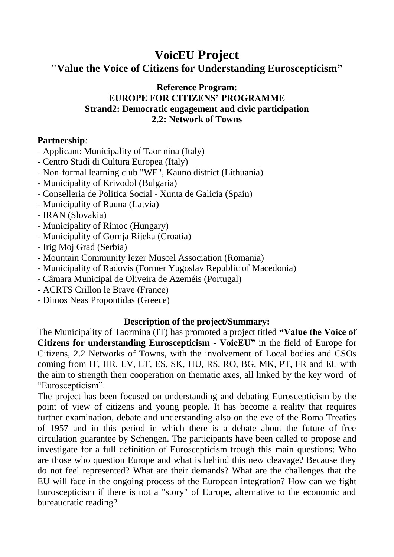## **VoicEU Project "Value the Voice of Citizens for Understanding Euroscepticism"**

## **Reference Program: EUROPE FOR CITIZENS' PROGRAMME Strand2: Democratic engagement and civic participation 2.2: Network of Towns**

## **Partnership***:*

- Applicant: Municipality of Taormina (Italy)
- Centro Studi di Cultura Europea (Italy)
- Non-formal learning club "WE", Kauno district (Lithuania)
- Municipality of Krivodol (Bulgaria)
- Conselleria de Politica Social Xunta de Galicia (Spain)
- Municipality of Rauna (Latvia)
- IRAN (Slovakia)
- Municipality of Rimoc (Hungary)
- Municipality of Gornja Rijeka (Croatia)
- Irig Moj Grad (Serbia)
- Mountain Community Iezer Muscel Association (Romania)
- Municipality of Radovis (Former Yugoslav Republic of Macedonia)
- Câmara Municipal de Oliveira de Azeméis (Portugal)
- ACRTS Crillon le Brave (France)
- Dimos Neas Propontidas (Greece)

## **Description of the project/Summary:**

The Municipality of Taormina (IT) has promoted a project titled **"Value the Voice of Citizens for understanding Euroscepticism - VoicEU"** in the field of Europe for Citizens, 2.2 Networks of Towns, with the involvement of Local bodies and CSOs coming from IT, HR, LV, LT, ES, SK, HU, RS, RO, BG, MK, PT, FR and EL with the aim to strength their cooperation on thematic axes, all linked by the key word of "Euroscepticism".

The project has been focused on understanding and debating Euroscepticism by the point of view of citizens and young people. It has become a reality that requires further examination, debate and understanding also on the eve of the Roma Treaties of 1957 and in this period in which there is a debate about the future of free circulation guarantee by Schengen. The participants have been called to propose and investigate for a full definition of Euroscepticism trough this main questions: Who are those who question Europe and what is behind this new cleavage? Because they do not feel represented? What are their demands? What are the challenges that the EU will face in the ongoing process of the European integration? How can we fight Euroscepticism if there is not a "story" of Europe, alternative to the economic and bureaucratic reading?